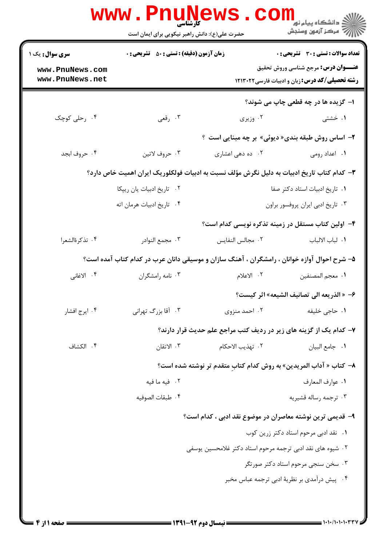|                                           | <b>WWW.PNUNEWS</b><br>کارشناسی<br>حضرت علی(ع): دانش راهبر نیکویی برای ایمان است             |                                                                    | ر دانشڪاه پيام نور ■<br>// مرکز آزمون وسنڊش                                         |
|-------------------------------------------|---------------------------------------------------------------------------------------------|--------------------------------------------------------------------|-------------------------------------------------------------------------------------|
| <b>سری سوال :</b> یک ۱<br>www.PnuNews.com | <b>زمان آزمون (دقیقه) : تستی : 50 ٪ تشریحی : 0</b>                                          |                                                                    | تعداد سوالات : تستى : 30 - تشريحي : 0<br><b>عنـــوان درس:</b> مرجع شناسي وروش تحقيق |
| www.PnuNews.net                           |                                                                                             |                                                                    | <b>رشته تحصیلی/کد درس:</b> زبان و ادبیات فارسی ۱۲۱۳۰۲۲                              |
|                                           |                                                                                             |                                                                    | <b>ا- گزیده ها در چه قطعی چاپ می شوند؟</b>                                          |
| ۰۴ رحلی کوچک                              | ۰۳ رقعي                                                                                     | ۰۲ وزیری                                                           | ۰۱ خشتی                                                                             |
|                                           |                                                                                             | ۲- اساس روش طبقه بندی« دیوئی» بر چه مبنایی است ؟                   |                                                                                     |
| ۰۴ حروف ابجد                              | ۰۳ حروف لاتين                                                                               | ۰۲ ده دهی اعشاری                                                   | ۰۱ اعداد رومی                                                                       |
|                                           | ۳– کدام کتاب تاریخ ادبیات به دلیل نگرش مؤلف نسبت به ادبیات فولکلوریک ایران اهمیت خاص دارد؟  |                                                                    |                                                                                     |
|                                           | ٠٢ تاريخ ادبيات يان ريپكا                                                                   |                                                                    | ٠١ تاريخ ادبيات استاد دكتر صفا                                                      |
|                                           | ۰۴ تاریخ ادبیات هرمان اته                                                                   |                                                                    | ٠٣ تاريخ ادبي ايران پروفسور براون                                                   |
|                                           |                                                                                             | ۴- اولین کتاب مستقل در زمینه تذکره نویسی کدام است؟                 |                                                                                     |
| ۰۴ تذكرةالشعرا                            | ۰۳ مجمع النوادر                                                                             | ٢. مجالس النفايس                                                   | ٠١. لباب الالباب                                                                    |
|                                           | ۵– شرح احوال آوازه خوانان ، رامشگران ، آهنگ سازان و موسیقی دانان عرب در کدام کتاب آمده است؟ |                                                                    |                                                                                     |
| ۰۴ الاغانی                                | ۰۳ نامه رامشگران                                                                            | ٢. الاعلام                                                         | ٠١. معجم المصنفين                                                                   |
|                                           |                                                                                             |                                                                    | ۶- « الذريعه الى تصانيف الشيعه» اثر كيست؟                                           |
| ۰۴ ایرج افشار                             | ۰۳ آقا بزرگ تهرانی                                                                          | ۰۲ احمد منزوی                                                      | ۰۱ حاج <sub>ی</sub> خلیفه                                                           |
|                                           |                                                                                             | ۷- کدام یک از گزینه های زیر در ردیف کتب مراجع علم حدیث قرار دارند؟ |                                                                                     |
| ۰۴ الكشاف                                 | ۰۳ الاتقان                                                                                  | ٢.  تهذيب الاحكام                                                  | ٠١ جامع البيان                                                                      |
|                                           |                                                                                             | ٨– كتاب « آداب المريدين» به روش كدام كتاب متقدم تر نوشته شده است؟  |                                                                                     |
|                                           | ۰۲ فیه ما فیه                                                                               |                                                                    | ٠١. عوارف المعارف                                                                   |
|                                           | ۰۴ طبقات الصوفيه                                                                            |                                                                    | ۰۳ ترجمه رساله قشيريه                                                               |
|                                           |                                                                                             | ۹– قدیمی ترین نوشته معاصران در موضوع نقد ادبی ، کدام است؟          |                                                                                     |
|                                           |                                                                                             |                                                                    | ٠١ نقد ادبي مرحوم استاد دكتر زرين كوب                                               |
|                                           | ۰۲ شیوه های نقد ادبی ترجمه مرحوم استاد دکتر غلامحسین یوسفی                                  |                                                                    |                                                                                     |
|                                           |                                                                                             |                                                                    | ۰۳ سخن سنجی مرحوم استاد دکتر صورتگر                                                 |
|                                           |                                                                                             |                                                                    | ۰۴ پیش درآمدی بر نظریهٔ ادبی ترجمه عباس مخبر                                        |
|                                           |                                                                                             |                                                                    |                                                                                     |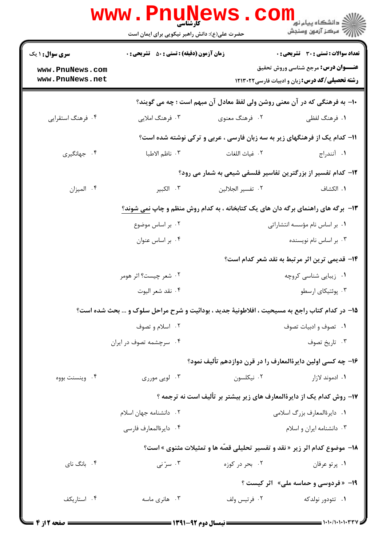|                                                                                  | www.Pnu̯news.co<br>حضرت علی(ع): دانش راهبر نیکویی برای ایمان است                              |                                                                                    | ي<br>ي دانشگاه پيام نور<br>پ<br>ج <sub>مرڪز</sub> آ <sub>ن</sub> يون وسنڊش                           |  |
|----------------------------------------------------------------------------------|-----------------------------------------------------------------------------------------------|------------------------------------------------------------------------------------|------------------------------------------------------------------------------------------------------|--|
| <b>سری سوال :</b> ۱ یک                                                           | <b>زمان آزمون (دقیقه) : تستی : 50 ٪ تشریحی : 0</b>                                            |                                                                                    | تعداد سوالات : تستى : 30 - تشريحي : 0                                                                |  |
| www.PnuNews.com<br>www.PnuNews.net                                               |                                                                                               |                                                                                    | <b>عنـــوان درس:</b> مرجع شناسي وروش تحقيق<br><b>رشته تحصیلی/کد درس:</b> زبان و ادبیات فارسی ۱۲۱۳۰۲۲ |  |
| ∙ا− به فرهنگی که در آن معنی روشن ولی لفظ معادل آن مبهم است ؛ چه می گویند؟        |                                                                                               |                                                                                    |                                                                                                      |  |
| ۰۴ فرهنگ استقرایی                                                                | ۰۳ فرهنگ املايي                                                                               | ۲. فرهنگ معنوی                                                                     | ١. فرهنگ لفظي                                                                                        |  |
|                                                                                  |                                                                                               | 1۱- کدام یک از فرهنگهای زیر به سه زبان فارسی ، عربی و ترکی نوشته شده است؟          |                                                                                                      |  |
| ۰۴ جهانگیری                                                                      | ۰۳ ناظم الاطبا                                                                                | ٢. غياث اللغات                                                                     | ٠١. آنندراج                                                                                          |  |
|                                                                                  |                                                                                               | ۱۲- کدام تفسیر از بزرگترین تفاسیر فلسفی شیعی به شمار می رود؟                       |                                                                                                      |  |
| ۰۴ الميزان                                                                       | ۰۳ الکبير                                                                                     | ٢. تفسير الجلالين                                                                  | ٠١. الكشاف                                                                                           |  |
| ۱۳- برگه های راهنمای برگه دان های یک کتابخانه ، به کدام روش منظم و چاپ نمی شوند؟ |                                                                                               |                                                                                    |                                                                                                      |  |
|                                                                                  | ۰۲ بر اساس موضوع                                                                              |                                                                                    | ٠١. بر اساس نام مؤسسه انتشاراتي                                                                      |  |
|                                                                                  | ۰۴ بر اساس عنوان                                                                              |                                                                                    | ۰۳ بر اساس نام نویسنده                                                                               |  |
|                                                                                  |                                                                                               |                                                                                    | <b>۱۴</b> - قدیمی ترین اثر مرتبط به نقد شعر کدام است؟                                                |  |
|                                                                                  | ۰۲ شعر چیست؟ اثر هومر                                                                         |                                                                                    | ۰۱ زیبایی شناسی کروچه                                                                                |  |
|                                                                                  | ۰۴ نقد شعر اليوت                                                                              |                                                                                    | ۰۳ پوئتيکاي ارسطو                                                                                    |  |
|                                                                                  | 1۵- در کدام کتاب راجع به مسیحیت ، افلاطونیهٔ جدید ، بودائیت و شرح مراحل سلوک و … بحث شده است؟ |                                                                                    |                                                                                                      |  |
|                                                                                  | ۰۲ اسلام و تصوف                                                                               |                                                                                    | ٠١ تصوف وادبيات تصوف                                                                                 |  |
|                                                                                  | ۰۴ سرچشمه تصوف در ایران                                                                       |                                                                                    | ۰۳ تاريخ تصوف                                                                                        |  |
|                                                                                  |                                                                                               | ۱۶– چه کسی اولین دایرهٔالمعارف را در قرن دوازدهم تألیف نمود؟                       |                                                                                                      |  |
| ۰۴ وينسنت بووه                                                                   | ۰۳ لویی مورری                                                                                 | ۰۲ نیکلسون                                                                         | ۰۱ ادموند لازار                                                                                      |  |
|                                                                                  |                                                                                               | ۱۷- روش کدام یک از دایرهٔالمعارف های زیر بیشتر بر تألیف است نه ترجمه ؟             |                                                                                                      |  |
|                                                                                  | ۰۲ دانشنامه جهان اسلام                                                                        |                                                                                    | ٠١ دايرةالمعارف بزرگ اسلامي                                                                          |  |
|                                                                                  | ۰۴ دايرةالمعارف فارسى                                                                         |                                                                                    | ۰۳ دانشنامه ایران و اسلام                                                                            |  |
|                                                                                  |                                                                                               | <b>۱۸</b> - موضوع کدام اثر زیر « نقد و تفسیر تحلیلی قصّه ها و تمثیلات مثنوی » است؟ |                                                                                                      |  |
| ۰۴ بانگ نای                                                                      | ۰۳ سرّ نی                                                                                     | ۰۲ بحر در کوزه                                                                     | ۰۱ پرتو عرفان                                                                                        |  |
|                                                                                  | 19- « فردوسی و حماسه ملی» آثر کیست ؟                                                          |                                                                                    |                                                                                                      |  |
| ۰۴ استاریکف                                                                      | ۰۳ هانری ماسه                                                                                 | ۰۲ فرتيس ولف                                                                       | ۰۱ تئودور نولدکه                                                                                     |  |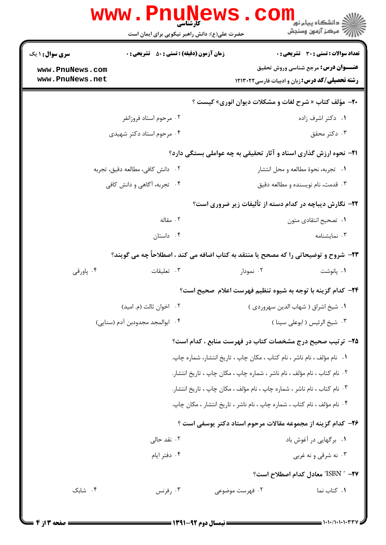|                                                              | www.PnuNews<br><b>کارشناسی</b><br>حضرت علی(ع): دانش راهبر نیکویی برای ایمان است      |                                                                          | ے<br>دانشگاہ پیام نور<br>رَ ۖ مرڪز آزمون وسنڊش                                                                                              |
|--------------------------------------------------------------|--------------------------------------------------------------------------------------|--------------------------------------------------------------------------|---------------------------------------------------------------------------------------------------------------------------------------------|
| <b>سری سوال : ۱ یک</b><br>www.PnuNews.com<br>www.PnuNews.net | <b>زمان آزمون (دقیقه) : تستی : 50 ٪ تشریحی : 0</b>                                   |                                                                          | تعداد سوالات : تستى : 30 - تشريحي : 0<br><b>عنـــوان درس:</b> مرجع شناسی وروش تحقیق<br><b>رشته تحصیلی/کد درس:</b> زبان و ادبیات فارسی۲۱۳۰۲۲ |
|                                                              |                                                                                      | <b>۲۰</b> - مؤلف کتاب « شرح لغات و مشکلات دیوان انوری» کیست ؟            |                                                                                                                                             |
|                                                              | ۰۲ مرحوم استاد فروزانفر                                                              |                                                                          | ۰۱ دکتر اشرف زاده                                                                                                                           |
|                                                              | ۰۴ مرحوم استاد دکتر شهیدی                                                            |                                                                          | ۰۳ دکتر محقق                                                                                                                                |
|                                                              |                                                                                      | <b>۲۱</b> - نحوه ارزش گذاری اسناد و آثار تحقیقی به چه عواملی بستگی دارد؟ |                                                                                                                                             |
|                                                              | ٠٢ دانش كافي، مطالعه دقيق، تجربه                                                     |                                                                          | ۰۱ تجربه، نحوهٔ مطالعه و محل انتشار                                                                                                         |
|                                                              | ۰۴ تجربه، آگاهی و دانش کافی                                                          |                                                                          | ۰۳ قدمت، نام نویسنده و مطالعه دقیق                                                                                                          |
|                                                              |                                                                                      | <b>۲۲</b> - نگارش دیباچه در کدام دسته از تألیفات زیر ضروری است؟          |                                                                                                                                             |
|                                                              | ۰۲ مقاله                                                                             |                                                                          | ٠١. تصحيح انتقادي متون                                                                                                                      |
|                                                              | ۰۴ داستان                                                                            |                                                                          | ۰۳ نمایشنامه                                                                                                                                |
|                                                              | ۲۳- شروح و توضیحاتی را که مصحح یا منتقد به کتاب اضافه می کند ، اصطلاحاً چه می گویند؟ |                                                                          |                                                                                                                                             |
| ۰۴ پاورقی                                                    | ۰۳ تعلیقات                                                                           | ۰۲ نمودار                                                                | ۰۱ پانوشت                                                                                                                                   |
|                                                              |                                                                                      | ۲۴– کدام گزینه با توجه به شیوه تنظیم فهرست اعلام صحیح است؟               |                                                                                                                                             |
|                                                              | ۰۲ اخوان ثالث (م. اميد)                                                              |                                                                          | ٠١ شيخ اشراق ( شهاب الدين سهروردي )                                                                                                         |
|                                                              | ۰۴ ابوالمجد مجدودبن آدم (سنايي)                                                      |                                                                          | ۰۳ شيخ الرئيس ( ابوعلي سينا )                                                                                                               |
|                                                              |                                                                                      | ۲۵- ترتیب صحیح درج مشخصات کتاب در فهرست منابع ، کدام است؟                |                                                                                                                                             |
|                                                              |                                                                                      | ۰۱ نام مؤلف ، نام ناشر ، نام کتاب ، مکان چاپ ، تاریخ انتشار، شماره چاپ.  |                                                                                                                                             |
|                                                              |                                                                                      | ۰۲ نام کتاب ، نام مؤلف ، نام ناشر ، شماره چاپ ، مکان چاپ ، تاریخ انتشار. |                                                                                                                                             |
|                                                              |                                                                                      | ۰۳ نام کتاب ، نام ناشر ، شماره چاپ ، نام مؤلف ، مکان چاپ ، تاریخ انتشار. |                                                                                                                                             |
|                                                              |                                                                                      | ۰۴ نام مؤلف ، نام کتاب ، شماره چاپ ، نام ناشر ، تاریخ انتشار ، مکان چاپ. |                                                                                                                                             |
|                                                              |                                                                                      | ۲۶- کدام گزینه از مجموعه مقالات مرحوم استاد دکتر یوسفی است ؟             |                                                                                                                                             |
|                                                              | ۰۲ نقد حالی                                                                          |                                                                          | ۰۱ برگهایی در آغوش باد                                                                                                                      |
|                                                              | ۰۴ دفتر ايام                                                                         |                                                                          | ۰۳ نه شرقی و نه غربی                                                                                                                        |
|                                                              |                                                                                      |                                                                          | <b>٢٧-</b> " ISBN" معادل كدام اصطلاح است؟                                                                                                   |
| ۰۴ شابک                                                      | ۰۳ رفرنس                                                                             | ۰۲ فهرست موضوعی                                                          | ٠. كتاب نما                                                                                                                                 |
|                                                              |                                                                                      |                                                                          |                                                                                                                                             |